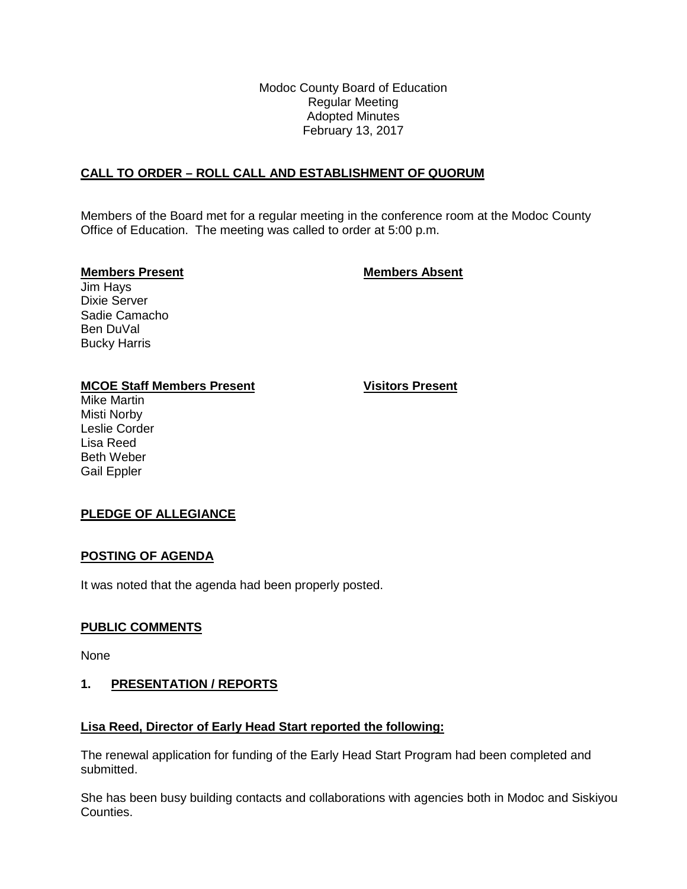Modoc County Board of Education Regular Meeting Adopted Minutes February 13, 2017

# **CALL TO ORDER – ROLL CALL AND ESTABLISHMENT OF QUORUM**

Members of the Board met for a regular meeting in the conference room at the Modoc County Office of Education. The meeting was called to order at 5:00 p.m.

#### **Members Present Members Absent**

Jim Hays Dixie Server Sadie Camacho Ben DuVal Bucky Harris

## **MCOE Staff Members Present Visitors Present**

Mike Martin Misti Norby Leslie Corder Lisa Reed Beth Weber Gail Eppler

# **PLEDGE OF ALLEGIANCE**

## **POSTING OF AGENDA**

It was noted that the agenda had been properly posted.

## **PUBLIC COMMENTS**

None

## **1. PRESENTATION / REPORTS**

## **Lisa Reed, Director of Early Head Start reported the following:**

The renewal application for funding of the Early Head Start Program had been completed and submitted.

She has been busy building contacts and collaborations with agencies both in Modoc and Siskiyou Counties.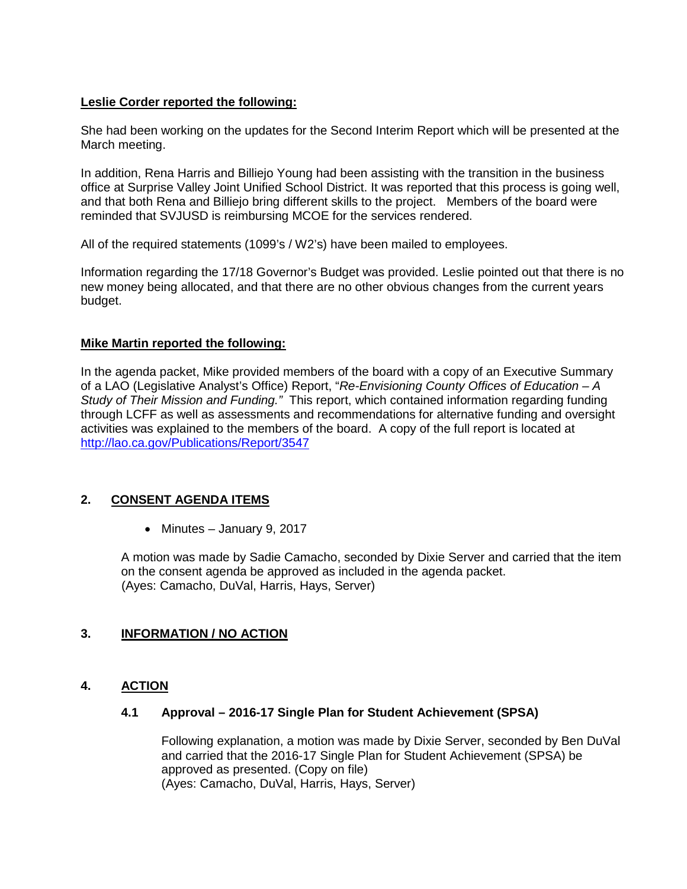## **Leslie Corder reported the following:**

She had been working on the updates for the Second Interim Report which will be presented at the March meeting.

In addition, Rena Harris and Billiejo Young had been assisting with the transition in the business office at Surprise Valley Joint Unified School District. It was reported that this process is going well, and that both Rena and Billiejo bring different skills to the project. Members of the board were reminded that SVJUSD is reimbursing MCOE for the services rendered.

All of the required statements (1099's / W2's) have been mailed to employees.

Information regarding the 17/18 Governor's Budget was provided. Leslie pointed out that there is no new money being allocated, and that there are no other obvious changes from the current years budget.

#### **Mike Martin reported the following:**

In the agenda packet, Mike provided members of the board with a copy of an Executive Summary of a LAO (Legislative Analyst's Office) Report, "*Re-Envisioning County Offices of Education – A Study of Their Mission and Funding."* This report, which contained information regarding funding through LCFF as well as assessments and recommendations for alternative funding and oversight activities was explained to the members of the board. A copy of the full report is located at <http://lao.ca.gov/Publications/Report/3547>

# **2. CONSENT AGENDA ITEMS**

• Minutes – January 9, 2017

A motion was made by Sadie Camacho, seconded by Dixie Server and carried that the item on the consent agenda be approved as included in the agenda packet. (Ayes: Camacho, DuVal, Harris, Hays, Server)

## **3. INFORMATION / NO ACTION**

## **4. ACTION**

#### **4.1 Approval – 2016-17 Single Plan for Student Achievement (SPSA)**

Following explanation, a motion was made by Dixie Server, seconded by Ben DuVal and carried that the 2016-17 Single Plan for Student Achievement (SPSA) be approved as presented. (Copy on file) (Ayes: Camacho, DuVal, Harris, Hays, Server)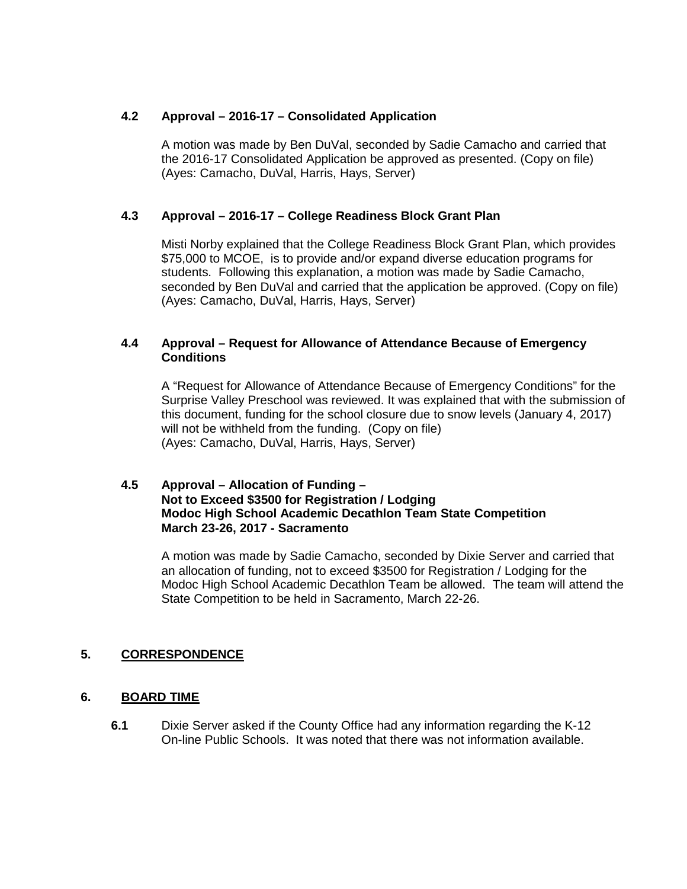## **4.2 Approval – 2016-17 – Consolidated Application**

A motion was made by Ben DuVal, seconded by Sadie Camacho and carried that the 2016-17 Consolidated Application be approved as presented. (Copy on file) (Ayes: Camacho, DuVal, Harris, Hays, Server)

## **4.3 Approval – 2016-17 – College Readiness Block Grant Plan**

Misti Norby explained that the College Readiness Block Grant Plan, which provides \$75,000 to MCOE, is to provide and/or expand diverse education programs for students. Following this explanation, a motion was made by Sadie Camacho, seconded by Ben DuVal and carried that the application be approved. (Copy on file) (Ayes: Camacho, DuVal, Harris, Hays, Server)

#### **4.4 Approval – Request for Allowance of Attendance Because of Emergency Conditions**

A "Request for Allowance of Attendance Because of Emergency Conditions" for the Surprise Valley Preschool was reviewed. It was explained that with the submission of this document, funding for the school closure due to snow levels (January 4, 2017) will not be withheld from the funding. (Copy on file) (Ayes: Camacho, DuVal, Harris, Hays, Server)

## **4.5 Approval – Allocation of Funding – Not to Exceed \$3500 for Registration / Lodging Modoc High School Academic Decathlon Team State Competition March 23-26, 2017 - Sacramento**

A motion was made by Sadie Camacho, seconded by Dixie Server and carried that an allocation of funding, not to exceed \$3500 for Registration / Lodging for the Modoc High School Academic Decathlon Team be allowed. The team will attend the State Competition to be held in Sacramento, March 22-26.

# **5. CORRESPONDENCE**

## **6. BOARD TIME**

**6.1** Dixie Server asked if the County Office had any information regarding the K-12 On-line Public Schools. It was noted that there was not information available.